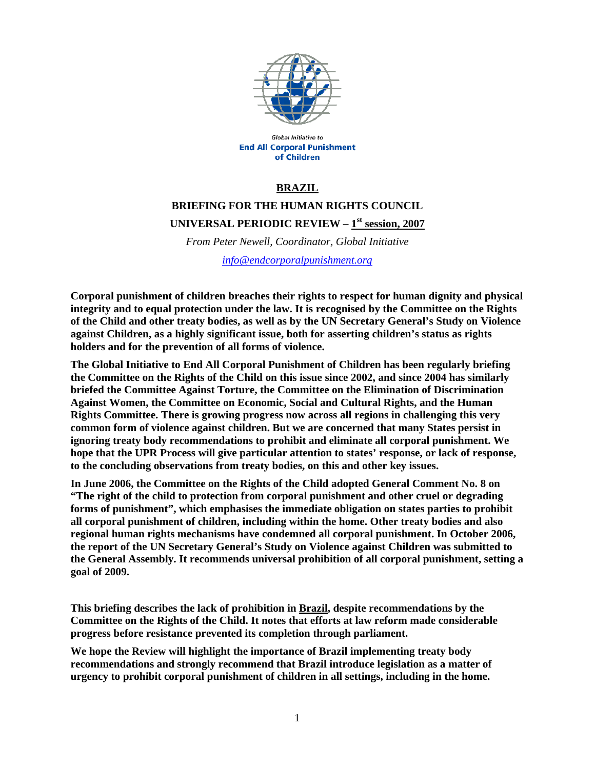

Global Initiative to **End All Corporal Punishment** of Children

## **BRAZIL**

# **BRIEFING FOR THE HUMAN RIGHTS COUNCIL UNIVERSAL PERIODIC REVIEW – 1st session, 2007**

*From Peter Newell, Coordinator, Global Initiative* 

*info@endcorporalpunishment.org*

**Corporal punishment of children breaches their rights to respect for human dignity and physical integrity and to equal protection under the law. It is recognised by the Committee on the Rights of the Child and other treaty bodies, as well as by the UN Secretary General's Study on Violence against Children, as a highly significant issue, both for asserting children's status as rights holders and for the prevention of all forms of violence.** 

**The Global Initiative to End All Corporal Punishment of Children has been regularly briefing the Committee on the Rights of the Child on this issue since 2002, and since 2004 has similarly briefed the Committee Against Torture, the Committee on the Elimination of Discrimination Against Women, the Committee on Economic, Social and Cultural Rights, and the Human Rights Committee. There is growing progress now across all regions in challenging this very common form of violence against children. But we are concerned that many States persist in ignoring treaty body recommendations to prohibit and eliminate all corporal punishment. We hope that the UPR Process will give particular attention to states' response, or lack of response, to the concluding observations from treaty bodies, on this and other key issues.** 

**In June 2006, the Committee on the Rights of the Child adopted General Comment No. 8 on "The right of the child to protection from corporal punishment and other cruel or degrading forms of punishment", which emphasises the immediate obligation on states parties to prohibit all corporal punishment of children, including within the home. Other treaty bodies and also regional human rights mechanisms have condemned all corporal punishment. In October 2006, the report of the UN Secretary General's Study on Violence against Children was submitted to the General Assembly. It recommends universal prohibition of all corporal punishment, setting a goal of 2009.** 

**This briefing describes the lack of prohibition in Brazil, despite recommendations by the Committee on the Rights of the Child. It notes that efforts at law reform made considerable progress before resistance prevented its completion through parliament.** 

**We hope the Review will highlight the importance of Brazil implementing treaty body recommendations and strongly recommend that Brazil introduce legislation as a matter of urgency to prohibit corporal punishment of children in all settings, including in the home.**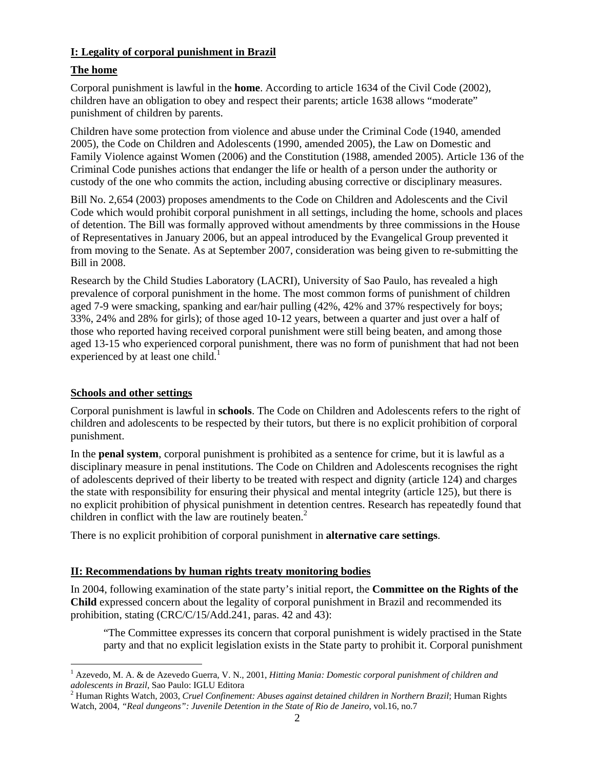## **I: Legality of corporal punishment in Brazil**

# **The home**

Corporal punishment is lawful in the **home**. According to article 1634 of the Civil Code (2002), children have an obligation to obey and respect their parents; article 1638 allows "moderate" punishment of children by parents.

Children have some protection from violence and abuse under the Criminal Code (1940, amended 2005), the Code on Children and Adolescents (1990, amended 2005), the Law on Domestic and Family Violence against Women (2006) and the Constitution (1988, amended 2005). Article 136 of the Criminal Code punishes actions that endanger the life or health of a person under the authority or custody of the one who commits the action, including abusing corrective or disciplinary measures.

Bill No. 2,654 (2003) proposes amendments to the Code on Children and Adolescents and the Civil Code which would prohibit corporal punishment in all settings, including the home, schools and places of detention. The Bill was formally approved without amendments by three commissions in the House of Representatives in January 2006, but an appeal introduced by the Evangelical Group prevented it from moving to the Senate. As at September 2007, consideration was being given to re-submitting the Bill in 2008.

Research by the Child Studies Laboratory (LACRI), University of Sao Paulo, has revealed a high prevalence of corporal punishment in the home. The most common forms of punishment of children aged 7-9 were smacking, spanking and ear/hair pulling (42%, 42% and 37% respectively for boys; 33%, 24% and 28% for girls); of those aged 10-12 years, between a quarter and just over a half of those who reported having received corporal punishment were still being beaten, and among those aged 13-15 who experienced corporal punishment, there was no form of punishment that had not been experienced by at least one child.<sup>1</sup>

### **Schools and other settings**

 $\overline{a}$ 

Corporal punishment is lawful in **schools**. The Code on Children and Adolescents refers to the right of children and adolescents to be respected by their tutors, but there is no explicit prohibition of corporal punishment.

In the **penal system**, corporal punishment is prohibited as a sentence for crime, but it is lawful as a disciplinary measure in penal institutions. The Code on Children and Adolescents recognises the right of adolescents deprived of their liberty to be treated with respect and dignity (article 124) and charges the state with responsibility for ensuring their physical and mental integrity (article 125), but there is no explicit prohibition of physical punishment in detention centres. Research has repeatedly found that children in conflict with the law are routinely beaten.<sup>2</sup>

There is no explicit prohibition of corporal punishment in **alternative care settings**.

### **II: Recommendations by human rights treaty monitoring bodies**

In 2004, following examination of the state party's initial report, the **Committee on the Rights of the Child** expressed concern about the legality of corporal punishment in Brazil and recommended its prohibition, stating (CRC/C/15/Add.241, paras. 42 and 43):

"The Committee expresses its concern that corporal punishment is widely practised in the State party and that no explicit legislation exists in the State party to prohibit it. Corporal punishment

<sup>&</sup>lt;sup>1</sup> Azevedo, M. A. & de Azevedo Guerra, V. N., 2001, *Hitting Mania: Domestic corporal punishment of children and adolescents in Brazil*, Sao Paulo: IGLU Editora 2

Human Rights Watch, 2003, *Cruel Confinement: Abuses against detained children in Northern Brazil*; Human Rights Watch, 2004, *"Real dungeons": Juvenile Detention in the State of Rio de Janeiro*, vol.16, no.7